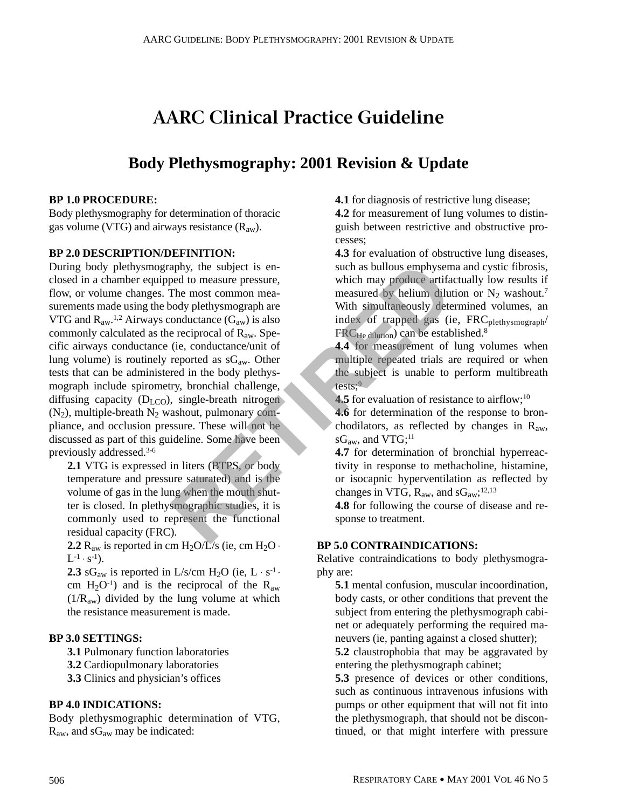# **AARC Clinical Practice Guideline**

# **Body Plethysmography: 2001 Revision & Update**

#### **BP 1.0 PROCEDURE:**

Body plethysmography for determination of thoracic gas volume (VTG) and airways resistance  $(R_{aw})$ .

### **BP 2.0 DESCRIPTION/DEFINITION:**

During body plethysmography, the subject is enclosed in a chamber equipped to measure pressure, flow, or volume changes. The most common measurements made using the body plethysmograph are VTG and  $R_{aw}$ <sup>1,2</sup> Airways conductance  $(G_{aw})$  is also commonly calculated as the reciprocal of  $R_{aw}$ . Specific airways conductance (ie, conductance/unit of lung volume) is routinely reported as  $sG_{aw}$ . Other tests that can be administered in the body plethysmograph include spirometry, bronchial challenge, diffusing capacity  $(D_{LCO})$ , single-breath nitrogen  $(N_2)$ , multiple-breath  $N_2$  washout, pulmonary compliance, and occlusion pressure. These will not be discussed as part of this guideline. Some have been previously addressed.3-6 aphy, the subject is en-<br>
be do measure pressure,<br>
the most common mea-<br>
onductance (G<sub>av</sub>) is also<br>
ended of the most common mea-<br>
ended of the measured by helium diluted<br>
onductance (G<sub>av</sub>) is also<br>
ended in the body pl

**2.1** VTG is expressed in liters (BTPS, or body temperature and pressure saturated) and is the volume of gas in the lung when the mouth shutter is closed. In plethysmographic studies, it is commonly used to represent the functional residual capacity (FRC).

**2.2**  $R_{aw}$  is reported in cm  $H_2O/L/s$  (ie, cm  $H_2O \cdot$  $L^{-1} \cdot s^{-1}$ ).

**2.3** sG<sub>aw</sub> is reported in L/s/cm H<sub>2</sub>O (ie, L  $\cdot$  s<sup>-1</sup>  $\cdot$ cm  $H_2O^{-1}$ ) and is the reciprocal of the  $R_{aw}$  $(1/R<sub>aw</sub>)$  divided by the lung volume at which the resistance measurement is made.

#### **BP 3.0 SETTINGS:**

**3.1** Pulmonary function laboratories

- **3.2** Cardiopulmonary laboratories
- **3.3** Clinics and physician's offices

#### **BP 4.0 INDICATIONS:**

Body plethysmographic determination of VTG, Raw, and sGaw may be indicated:

**4.1** for diagnosis of restrictive lung disease;

**4.2** for measurement of lung volumes to distinguish between restrictive and obstructive processes;

**4.3** for evaluation of obstructive lung diseases, such as bullous emphysema and cystic fibrosis, which may produce artifactually low results if measured by helium dilution or  $N_2$  washout.<sup>7</sup> With simultaneously determined volumes, an index of trapped gas (ie, FRC<sub>plethysmograph</sub>/ FRC<sub>He dilution</sub>) can be established.<sup>8</sup>

**4.4** for measurement of lung volumes when multiple repeated trials are required or when the subject is unable to perform multibreath tests; $9$ 

**4.5** for evaluation of resistance to airflow;<sup>10</sup>

**4.6** for determination of the response to bronchodilators, as reflected by changes in  $R_{aw}$ ,  $sG<sub>aw</sub>$ , and VTG;<sup>11</sup>

**4.7** for determination of bronchial hyperreactivity in response to methacholine, histamine, or isocapnic hyperventilation as reflected by changes in VTG,  $R_{aw}$ , and  $sG_{aw}$ ;<sup>12,13</sup>

**4.8** for following the course of disease and response to treatment.

#### **BP 5.0 CONTRAINDICATIONS:**

Relative contraindications to body plethysmography are:

**5.1** mental confusion, muscular incoordination, body casts, or other conditions that prevent the subject from entering the plethysmograph cabinet or adequately performing the required maneuvers (ie, panting against a closed shutter);

**5.2** claustrophobia that may be aggravated by entering the plethysmograph cabinet;

**5.3** presence of devices or other conditions, such as continuous intravenous infusions with pumps or other equipment that will not fit into the plethysmograph, that should not be discontinued, or that might interfere with pressure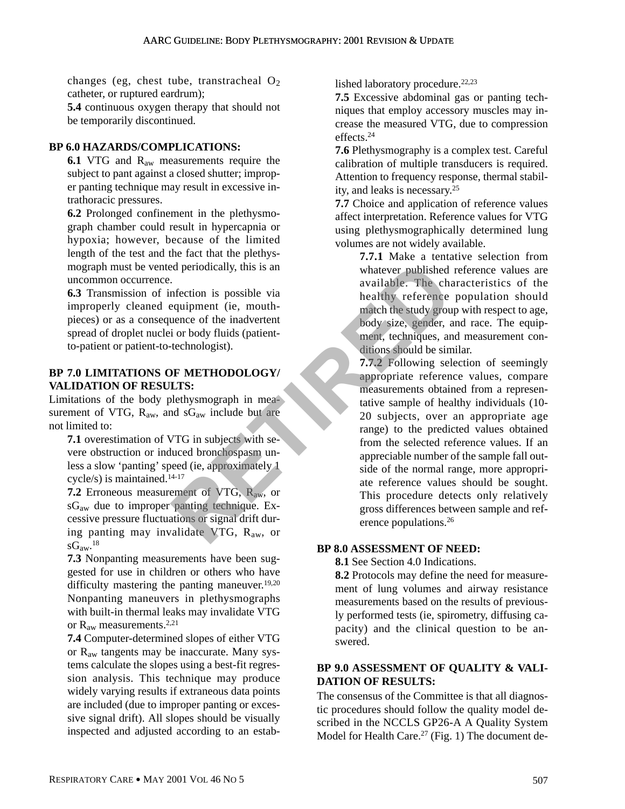changes (eg, chest tube, transtracheal  $O_2$ ) catheter, or ruptured eardrum);

**5.4** continuous oxygen therapy that should not be temporarily discontinued.

# **BP 6.0 HAZARDS/COMPLICATIONS:**

**6.1** VTG and R<sub>aw</sub> measurements require the subject to pant against a closed shutter; improper panting technique may result in excessive intrathoracic pressures.

**6.2** Prolonged confinement in the plethysmograph chamber could result in hypercapnia or hypoxia; however, because of the limited length of the test and the fact that the plethysmograph must be vented periodically, this is an uncommon occurrence.

**6.3** Transmission of infection is possible via improperly cleaned equipment (ie, mouthpieces) or as a consequence of the inadvertent spread of droplet nuclei or body fluids (patientto-patient or patient-to-technologist).

# **BP 7.0 LIMITATIONS OF METHODOLOGY/ VALIDATION OF RESULTS:**

Limitations of the body plethysmograph in measurement of VTG,  $R_{aw}$ , and  $sG_{aw}$  include but are not limited to:

**7.1** overestimation of VTG in subjects with severe obstruction or induced bronchospasm unless a slow 'panting' speed (ie, approximately 1 cycle/s) is maintained.14-17

**7.2** Erroneous measurement of VTG, Raw, or sGaw due to improper panting technique. Excessive pressure fluctuations or signal drift during panting may invalidate VTG, Raw, or  $\mathrm{sG}_{\mathrm{aw}}$ <sup>18</sup>

**7.3** Nonpanting measurements have been suggested for use in children or others who have difficulty mastering the panting maneuver.<sup>19,20</sup> Nonpanting maneuvers in plethysmographs with built-in thermal leaks may invalidate VTG or  $R_{aw}$  measurements.<sup>2,21</sup>

**7.4** Computer-determined slopes of either VTG or Raw tangents may be inaccurate. Many systems calculate the slopes using a best-fit regression analysis. This technique may produce widely varying results if extraneous data points are included (due to improper panting or excessive signal drift). All slopes should be visually inspected and adjusted according to an established laboratory procedure.<sup>22,23</sup>

**7.5** Excessive abdominal gas or panting techniques that employ accessory muscles may increase the measured VTG, due to compression effects.24

**7.6** Plethysmography is a complex test. Careful calibration of multiple transducers is required. Attention to frequency response, thermal stability, and leaks is necessary.25

**7.7** Choice and application of reference values affect interpretation. Reference values for VTG using plethysmographically determined lung volumes are not widely available.

> **7.7.1** Make a tentative selection from whatever published reference values are available. The characteristics of the healthy reference population should match the study group with respect to age, body size, gender, and race. The equipment, techniques, and measurement conditions should be similar.

**7.7.2** Following selection of seemingly appropriate reference values, compare measurements obtained from a representative sample of healthy individuals (10- 20 subjects, over an appropriate age range) to the predicted values obtained from the selected reference values. If an appreciable number of the sample fall outside of the normal range, more appropriate reference values should be sought. This procedure detects only relatively gross differences between sample and reference populations.26 Example the pair of VTG, R<sub>aw</sub>, or<br>
antingue the match the selection is possible via<br>
infection is possible via<br>
available. The charactering<br>
equipment (ie, mouth-<br>
infection is possible via<br>
the study group body size, gen

# **BP 8.0 ASSESSMENT OF NEED:**

**8.1** See Section 4.0 Indications.

**8.2** Protocols may define the need for measurement of lung volumes and airway resistance measurements based on the results of previously performed tests (ie, spirometry, diffusing capacity) and the clinical question to be answered.

# **BP 9.0 ASSESSMENT OF QUALITY & VALI-DATION OF RESULTS:**

The consensus of the Committee is that all diagnostic procedures should follow the quality model described in the NCCLS GP26-A A Quality System Model for Health Care.<sup>27</sup> (Fig. 1) The document de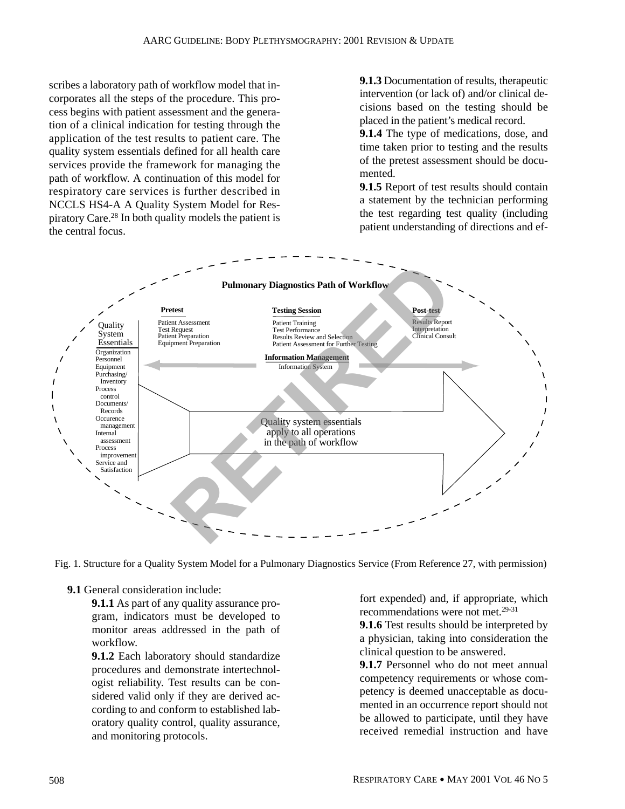scribes a laboratory path of workflow model that incorporates all the steps of the procedure. This process begins with patient assessment and the generation of a clinical indication for testing through the application of the test results to patient care. The quality system essentials defined for all health care services provide the framework for managing the path of workflow. A continuation of this model for respiratory care services is further described in NCCLS HS4-A A Quality System Model for Respiratory Care.28 In both quality models the patient is the central focus.

**9.1.3** Documentation of results, therapeutic intervention (or lack of) and/or clinical decisions based on the testing should be placed in the patient's medical record.

**9.1.4** The type of medications, dose, and time taken prior to testing and the results of the pretest assessment should be documented.

**9.1.5** Report of test results should contain a statement by the technician performing the test regarding test quality (including patient understanding of directions and ef-



Fig. 1. Structure for a Quality System Model for a Pulmonary Diagnostics Service (From Reference 27, with permission)

**9.1** General consideration include:

**9.1.1** As part of any quality assurance program, indicators must be developed to monitor areas addressed in the path of workflow.

**9.1.2** Each laboratory should standardize procedures and demonstrate intertechnologist reliability. Test results can be considered valid only if they are derived according to and conform to established laboratory quality control, quality assurance, and monitoring protocols.

fort expended) and, if appropriate, which recommendations were not met.29-31

**9.1.6** Test results should be interpreted by a physician, taking into consideration the clinical question to be answered.

**9.1.7** Personnel who do not meet annual competency requirements or whose competency is deemed unacceptable as documented in an occurrence report should not be allowed to participate, until they have received remedial instruction and have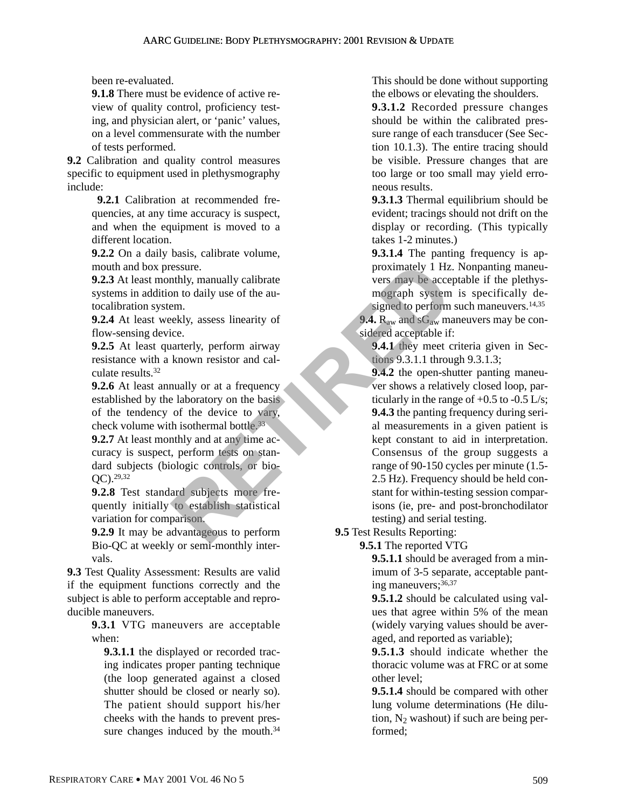been re-evaluated.

**9.1.8** There must be evidence of active review of quality control, proficiency testing, and physician alert, or 'panic' values, on a level commensurate with the number of tests performed.

**9.2** Calibration and quality control measures specific to equipment used in plethysmography include:

> **9.2.1** Calibration at recommended frequencies, at any time accuracy is suspect, and when the equipment is moved to a different location.

> **9.2.2** On a daily basis, calibrate volume, mouth and box pressure.

> **9.2.3** At least monthly, manually calibrate systems in addition to daily use of the autocalibration system.

> **9.2.4** At least weekly, assess linearity of flow-sensing device.

> **9.2.5** At least quarterly, perform airway resistance with a known resistor and calculate results.32

**9.2.6** At least annually or at a frequency established by the laboratory on the basis of the tendency of the device to vary, check volume with isothermal bottle.33

**9.2.7** At least monthly and at any time accuracy is suspect, perform tests on standard subjects (biologic controls, or bio-QC).29,32

**9.2.8** Test standard subjects more frequently initially to establish statistical variation for comparison.

**9.2.9** It may be advantageous to perform Bio-QC at weekly or semi-monthly intervals.

**9.3** Test Quality Assessment: Results are valid if the equipment functions correctly and the subject is able to perform acceptable and reproducible maneuvers.

> **9.3.1** VTG maneuvers are acceptable when:

**9.3.1.1** the displayed or recorded tracing indicates proper panting technique (the loop generated against a closed shutter should be closed or nearly so). The patient should support his/her cheeks with the hands to prevent pressure changes induced by the mouth.<sup>34</sup>

This should be done without supporting the elbows or elevating the shoulders.

**9.3.1.2** Recorded pressure changes should be within the calibrated pressure range of each transducer (See Section 10.1.3). The entire tracing should be visible. Pressure changes that are too large or too small may yield erroneous results.

**9.3.1.3** Thermal equilibrium should be evident; tracings should not drift on the display or recording. (This typically takes 1-2 minutes.)

**9.3.1.4** The panting frequency is approximately 1 Hz. Nonpanting maneuvers may be acceptable if the plethysmograph system is specifically designed to perform such maneuvers.<sup>14,35</sup>

9.4. R<sub>aw</sub> and sG<sub>aw</sub> maneuvers may be considered acceptable if:

**9.4.1** they meet criteria given in Sections 9.3.1.1 through 9.3.1.3;

**9.4.2** the open-shutter panting maneuver shows a relatively closed loop, particularly in the range of  $+0.5$  to  $-0.5$  L/s; **9.4.3** the panting frequency during serial measurements in a given patient is kept constant to aid in interpretation. Consensus of the group suggests a range of 90-150 cycles per minute (1.5- 2.5 Hz). Frequency should be held constant for within-testing session comparisons (ie, pre- and post-bronchodilator testing) and serial testing. Example the device of the device of the device of the device of the device interesting and science of the device of the device of the device of the device of the device of the device of the device of the device of the devi

**9.5** Test Results Reporting:

**9.5.1** The reported VTG

**9.5.1.1** should be averaged from a minimum of 3-5 separate, acceptable panting maneuvers;36,37

**9.5.1.2** should be calculated using values that agree within 5% of the mean (widely varying values should be averaged, and reported as variable);

**9.5.1.3** should indicate whether the thoracic volume was at FRC or at some other level;

**9.5.1.4** should be compared with other lung volume determinations (He dilution,  $N_2$  washout) if such are being performed;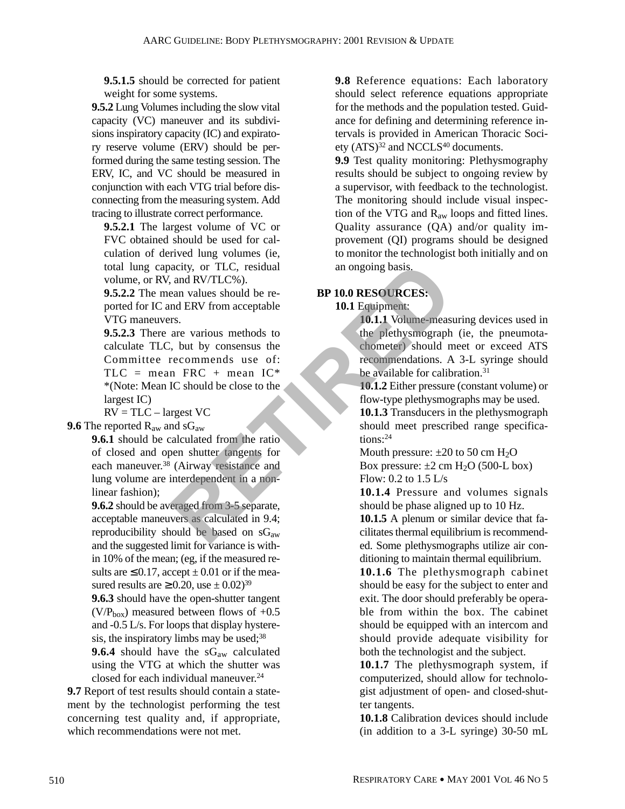**9.5.1.5** should be corrected for patient weight for some systems.

**9.5.2** Lung Volumes including the slow vital capacity (VC) maneuver and its subdivisions inspiratory capacity (IC) and expiratory reserve volume (ERV) should be performed during the same testing session. The ERV, IC, and VC should be measured in conjunction with each VTG trial before disconnecting from the measuring system. Add tracing to illustrate correct performance.

**9.5.2.1** The largest volume of VC or FVC obtained should be used for calculation of derived lung volumes (ie, total lung capacity, or TLC, residual volume, or RV, and RV/TLC%).

**9.5.2.2** The mean values should be reported for IC and ERV from acceptable VTG maneuvers.

**9.5.2.3** There are various methods to calculate TLC, but by consensus the Committee recommends use of:  $TLC$  = mean FRC + mean  $IC^*$ \*(Note: Mean IC should be close to the largest IC) acity, or TLC, residual<br>
an ongoing basis.<br>
and RV/TLC%).<br>
an values should be re-<br> **RESOURCES:**<br>
are various methods to<br>
are various methods to<br>
be plethysmograph<br>
in FRC + mean IC\*<br>
IC should be close to the<br>
recommenda

 $RV = TLC - largest VC$ 

**9.6** The reported R<sub>aw</sub> and sG<sub>aw</sub>

**9.6.1** should be calculated from the ratio of closed and open shutter tangents for each maneuver.38 (Airway resistance and lung volume are interdependent in a nonlinear fashion);

**9.6.2** should be averaged from 3-5 separate, acceptable maneuvers as calculated in 9.4; reproducibility should be based on  $sG_{aw}$ and the suggested limit for variance is within 10% of the mean; (eg, if the measured results are  $\leq$  0.17, accept  $\pm$  0.01 or if the measured results are  $\geq$  0.20, use  $\pm$  0.02)<sup>39</sup>

**9.6.3** should have the open-shutter tangent  $(V/P<sub>box</sub>)$  measured between flows of +0.5 and -0.5 L/s. For loops that display hysteresis, the inspiratory limbs may be used;<sup>38</sup>

9.6.4 should have the sG<sub>aw</sub> calculated using the VTG at which the shutter was closed for each individual maneuver.<sup>24</sup>

**9.7** Report of test results should contain a statement by the technologist performing the test concerning test quality and, if appropriate, which recommendations were not met.

**9.8** Reference equations: Each laboratory should select reference equations appropriate for the methods and the population tested. Guidance for defining and determining reference intervals is provided in American Thoracic Society (ATS)<sup>32</sup> and NCCLS<sup>40</sup> documents.

**9.9** Test quality monitoring: Plethysmography results should be subject to ongoing review by a supervisor, with feedback to the technologist. The monitoring should include visual inspection of the VTG and Raw loops and fitted lines. Quality assurance (QA) and/or quality improvement (QI) programs should be designed to monitor the technologist both initially and on an ongoing basis.

# **BP 10.0 RESOURCES:**

**10.1** Equipment:

**10.1.1** Volume-measuring devices used in the plethysmograph (ie, the pneumotachometer) should meet or exceed ATS recommendations. A 3-L syringe should be available for calibration.<sup>31</sup>

**10.1.2** Either pressure (constant volume) or flow-type plethysmographs may be used.

**10.1.3** Transducers in the plethysmograph should meet prescribed range specifications:24

Mouth pressure:  $\pm 20$  to 50 cm H<sub>2</sub>O

Box pressure:  $\pm 2$  cm H<sub>2</sub>O (500-L box) Flow: 0.2 to 1.5 L/s

**10.1.4** Pressure and volumes signals should be phase aligned up to 10 Hz.

**10.1.5** A plenum or similar device that facilitates thermal equilibrium is recommended. Some plethysmographs utilize air conditioning to maintain thermal equilibrium.

**10.1.6** The plethysmograph cabinet should be easy for the subject to enter and exit. The door should preferably be operable from within the box. The cabinet should be equipped with an intercom and should provide adequate visibility for both the technologist and the subject.

**10.1.7** The plethysmograph system, if computerized, should allow for technologist adjustment of open- and closed-shutter tangents.

**10.1.8** Calibration devices should include (in addition to a 3-L syringe) 30-50 mL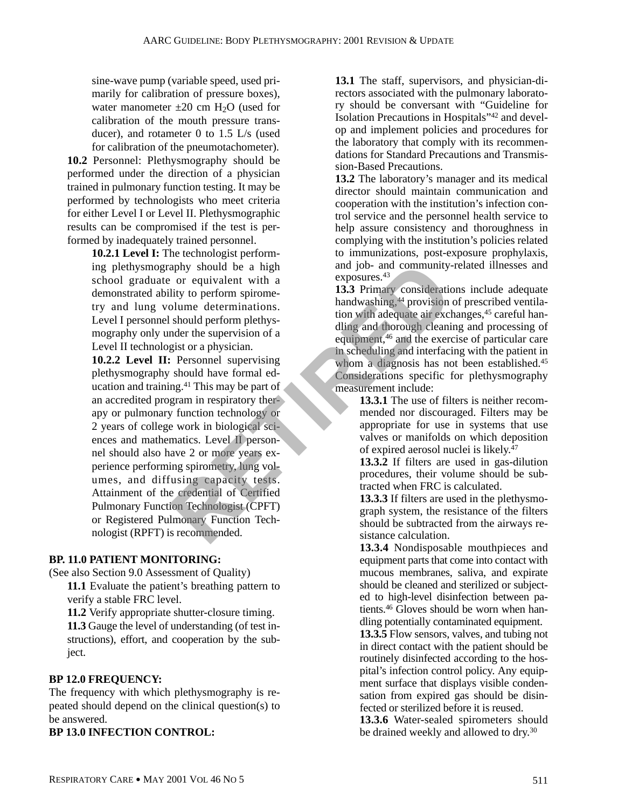sine-wave pump (variable speed, used primarily for calibration of pressure boxes), water manometer  $\pm 20$  cm H<sub>2</sub>O (used for calibration of the mouth pressure transducer), and rotameter 0 to 1.5 L/s (used for calibration of the pneumotachometer).

**10.2** Personnel: Plethysmography should be performed under the direction of a physician trained in pulmonary function testing. It may be performed by technologists who meet criteria for either Level I or Level II. Plethysmographic results can be compromised if the test is performed by inadequately trained personnel.

**10.2.1 Level I:** The technologist performing plethysmography should be a high school graduate or equivalent with a demonstrated ability to perform spirometry and lung volume determinations. Level I personnel should perform plethysmography only under the supervision of a Level II technologist or a physician.

**10.2.2 Level II:** Personnel supervising plethysmography should have formal education and training.<sup>41</sup> This may be part of an accredited program in respiratory therapy or pulmonary function technology or 2 years of college work in biological sciences and mathematics. Level II personnel should also have 2 or more years experience performing spirometry, lung volumes, and diffusing capacity tests. Attainment of the credential of Certified Pulmonary Function Technologist (CPFT) or Registered Pulmonary Function Technologist (RPFT) is recommended. aphy should be a high<br>
or equivalent with a<br>
lity to perform spirome-<br>
allity to perform spirome-<br>
allity to perform perhysion<br>
allity to perform perhysion of a<br>
allity and washing, <sup>44</sup> provision of a<br>
alling and thorough

# **BP. 11.0 PATIENT MONITORING:**

(See also Section 9.0 Assessment of Quality)

**11.1** Evaluate the patient's breathing pattern to verify a stable FRC level.

**11.2** Verify appropriate shutter-closure timing. **11.3** Gauge the level of understanding (of test instructions), effort, and cooperation by the subject.

# **BP 12.0 FREQUENCY:**

The frequency with which plethysmography is repeated should depend on the clinical question(s) to be answered.

**BP 13.0 INFECTION CONTROL:**

**13.1** The staff, supervisors, and physician-directors associated with the pulmonary laboratory should be conversant with "Guideline for Isolation Precautions in Hospitals"42 and develop and implement policies and procedures for the laboratory that comply with its recommendations for Standard Precautions and Transmission-Based Precautions.

**13.2** The laboratory's manager and its medical director should maintain communication and cooperation with the institution's infection control service and the personnel health service to help assure consistency and thoroughness in complying with the institution's policies related to immunizations, post-exposure prophylaxis, and job- and community-related illnesses and exposures.<sup>43</sup>

**13.3** Primary considerations include adequate handwashing,<sup>44</sup> provision of prescribed ventilation with adequate air exchanges,<sup>45</sup> careful handling and thorough cleaning and processing of equipment,46 and the exercise of particular care in scheduling and interfacing with the patient in whom a diagnosis has not been established.<sup>45</sup> Considerations specific for plethysmography measurement include:

**13.3.1** The use of filters is neither recommended nor discouraged. Filters may be appropriate for use in systems that use valves or manifolds on which deposition of expired aerosol nuclei is likely.47

**13.3.2** If filters are used in gas-dilution procedures, their volume should be subtracted when FRC is calculated.

**13.3.3** If filters are used in the plethysmograph system, the resistance of the filters should be subtracted from the airways resistance calculation.

**13.3.4** Nondisposable mouthpieces and equipment parts that come into contact with mucous membranes, saliva, and expirate should be cleaned and sterilized or subjected to high-level disinfection between patients.46 Gloves should be worn when handling potentially contaminated equipment.

**13.3.5** Flow sensors, valves, and tubing not in direct contact with the patient should be routinely disinfected according to the hospital's infection control policy. Any equipment surface that displays visible condensation from expired gas should be disinfected or sterilized before it is reused.

**13.3.6** Water-sealed spirometers should be drained weekly and allowed to dry.30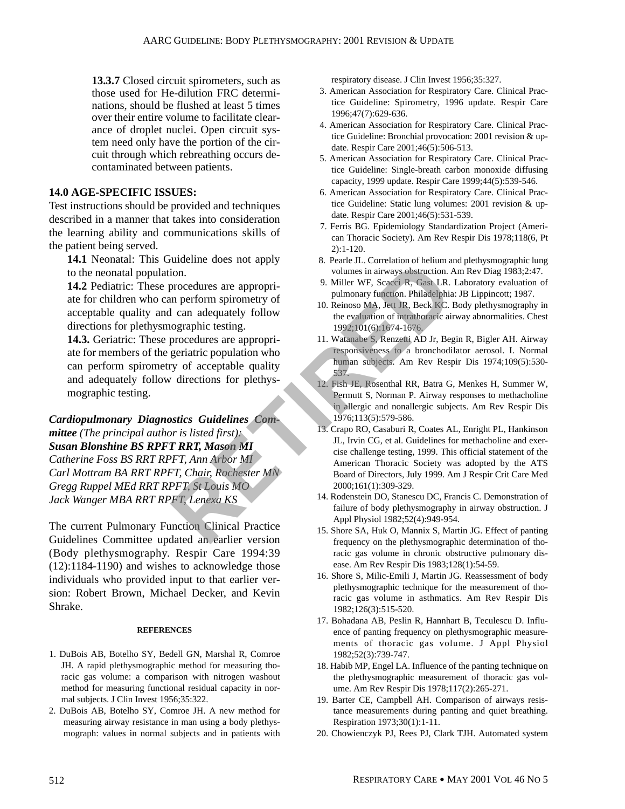**13.3.7** Closed circuit spirometers, such as those used for He-dilution FRC determinations, should be flushed at least 5 times over their entire volume to facilitate clearance of droplet nuclei. Open circuit system need only have the portion of the circuit through which rebreathing occurs decontaminated between patients.

### **14.0 AGE-SPECIFIC ISSUES:**

Test instructions should be provided and techniques described in a manner that takes into consideration the learning ability and communications skills of the patient being served.

**14.1** Neonatal: This Guideline does not apply to the neonatal population.

**14.2** Pediatric: These procedures are appropriate for children who can perform spirometry of acceptable quality and can adequately follow directions for plethysmographic testing.

**14.3.** Geriatric: These procedures are appropriate for members of the geriatric population who can perform spirometry of acceptable quality and adequately follow directions for plethysmographic testing.

*Cardiopulmonary Diagnostics Guidelines Committee (The principal author is listed first): Susan Blonshine BS RPFT RRT, Mason MI Catherine Foss BS RRT RPFT, Ann Arbor MI Carl Mottram BA RRT RPFT, Chair, Rochester MN Gregg Ruppel MEd RRT RPFT, St Louis MO Jack Wanger MBA RRT RPFT, Lenexa KS* Fig. Catalogue of the same of the same of the same of the same of the principal and adequately follow<br> **RETIRED SET AS CALCH CONGET AND SET AND SET AND SET SACK CONGERVING SURFALL SACK CONGERN CONGERN CONGERN CONGERN CONGE** 

The current Pulmonary Function Clinical Practice Guidelines Committee updated an earlier version (Body plethysmography. Respir Care 1994:39 (12):1184-1190) and wishes to acknowledge those individuals who provided input to that earlier version: Robert Brown, Michael Decker, and Kevin Shrake.

#### **REFERENCES**

- 1. DuBois AB, Botelho SY, Bedell GN, Marshal R, Comroe JH. A rapid plethysmographic method for measuring thoracic gas volume: a comparison with nitrogen washout method for measuring functional residual capacity in normal subjects. J Clin Invest 1956;35:322.
- 2. DuBois AB, Botelho SY, Comroe JH. A new method for measuring airway resistance in man using a body plethysmograph: values in normal subjects and in patients with

respiratory disease. J Clin Invest 1956;35:327.

- 3. American Association for Respiratory Care. Clinical Practice Guideline: Spirometry, 1996 update. Respir Care 1996;47(7):629-636.
- 4. American Association for Respiratory Care. Clinical Practice Guideline: Bronchial provocation: 2001 revision & update. Respir Care 2001;46(5):506-513.
- 5. American Association for Respiratory Care. Clinical Practice Guideline: Single-breath carbon monoxide diffusing capacity, 1999 update. Respir Care 1999;44(5):539-546.
- 6. American Association for Respiratory Care. Clinical Practice Guideline: Static lung volumes: 2001 revision & update. Respir Care 2001;46(5):531-539.
- 7. Ferris BG. Epidemiology Standardization Project (American Thoracic Society). Am Rev Respir Dis 1978;118(6, Pt 2):1-120.
- 8. Pearle JL. Correlation of helium and plethysmographic lung volumes in airways obstruction. Am Rev Diag 1983;2:47.
- 9. Miller WF, Scacci R, Gast LR. Laboratory evaluation of pulmonary function. Philadelphia: JB Lippincott; 1987.
- 10. Reinoso MA, Jett JR, Beck KC. Body plethysmography in the evaluation of intrathoracic airway abnormalities. Chest 1992;101(6):1674-1676.
- 11. Watanabe S, Renzetti AD Jr, Begin R, Bigler AH. Airway responsiveness to a bronchodilator aerosol. I. Normal human subjects. Am Rev Respir Dis 1974;109(5):530- 537.
- 12. Fish JE, Rosenthal RR, Batra G, Menkes H, Summer W, Permutt S, Norman P. Airway responses to methacholine in allergic and nonallergic subjects. Am Rev Respir Dis 1976;113(5):579-586.
- 13. Crapo RO, Casaburi R, Coates AL, Enright PL, Hankinson JL, Irvin CG, et al. Guidelines for methacholine and exercise challenge testing, 1999. This official statement of the American Thoracic Society was adopted by the ATS Board of Directors, July 1999. Am J Respir Crit Care Med 2000;161(1):309-329.
- 14. Rodenstein DO, Stanescu DC, Francis C. Demonstration of failure of body plethysmography in airway obstruction. J Appl Physiol 1982;52(4):949-954.
- 15. Shore SA, Huk O, Mannix S, Martin JG. Effect of panting frequency on the plethysmographic determination of thoracic gas volume in chronic obstructive pulmonary disease. Am Rev Respir Dis 1983;128(1):54-59.
- 16. Shore S, Milic-Emili J, Martin JG. Reassessment of body plethysmographic technique for the measurement of thoracic gas volume in asthmatics. Am Rev Respir Dis 1982;126(3):515-520.
- 17. Bohadana AB, Peslin R, Hannhart B, Teculescu D. Influence of panting frequency on plethysmographic measurements of thoracic gas volume. J Appl Physiol 1982;52(3):739-747.
- 18. Habib MP, Engel LA. Influence of the panting technique on the plethysmographic measurement of thoracic gas volume. Am Rev Respir Dis 1978;117(2):265-271.
- 19. Barter CE, Campbell AH. Comparison of airways resistance measurements during panting and quiet breathing. Respiration 1973;30(1):1-11.
- 20. Chowienczyk PJ, Rees PJ, Clark TJH. Automated system